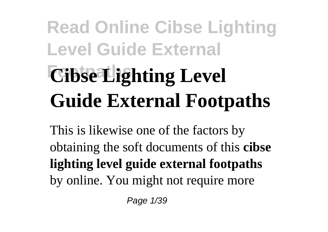# **Read Online Cibse Lighting Level Guide External** *<u>Cibse Lighting Level</u>* **Guide External Footpaths**

This is likewise one of the factors by obtaining the soft documents of this **cibse lighting level guide external footpaths** by online. You might not require more

Page 1/39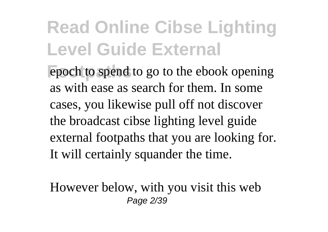epoch to spend to go to the ebook opening as with ease as search for them. In some cases, you likewise pull off not discover the broadcast cibse lighting level guide external footpaths that you are looking for. It will certainly squander the time.

However below, with you visit this web Page 2/39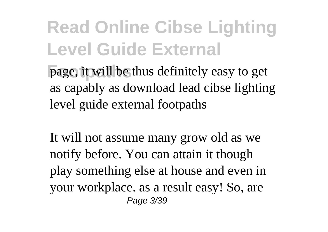**page, it will be thus definitely easy to get** as capably as download lead cibse lighting level guide external footpaths

It will not assume many grow old as we notify before. You can attain it though play something else at house and even in your workplace. as a result easy! So, are Page 3/39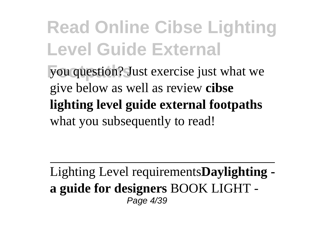**Fou question?** Just exercise just what we give below as well as review **cibse lighting level guide external footpaths** what you subsequently to read!

Lighting Level requirements**Daylighting a guide for designers** BOOK LIGHT - Page 4/39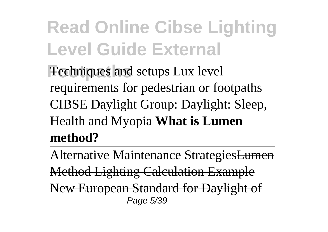**Fechniques and setups Lux level** requirements for pedestrian or footpaths CIBSE Daylight Group: Daylight: Sleep, Health and Myopia **What is Lumen method?**

Alternative Maintenance StrategiesLumen Method Lighting Calculation Example New European Standard for Daylight of Page 5/39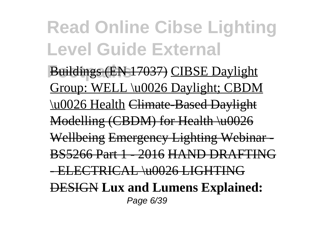**Footpaths** Buildings (EN 17037) CIBSE Daylight Group: WELL \u0026 Daylight; CBDM \u0026 Health Climate-Based Daylight Modelling (CBDM) for Health \u0026 Wellbeing Emergency Lighting Webinar BS5266 Part 1 - 2016 HAND DRAFTING - ELECTRICAL \u0026 LIGHTING DESIGN **Lux and Lumens Explained:** Page 6/39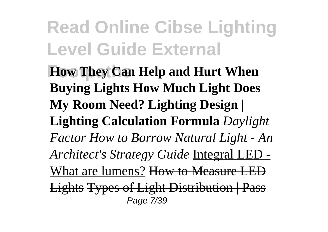**How They Can Help and Hurt When Buying Lights How Much Light Does My Room Need? Lighting Design | Lighting Calculation Formula** *Daylight Factor How to Borrow Natural Light - An Architect's Strategy Guide* Integral LED - What are lumens? How to Measure LED Lights Types of Light Distribution | Pass Page 7/39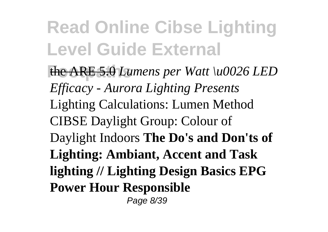**Formular the ARE 5.0** *Lumens per Watt \u0026 LED Efficacy - Aurora Lighting Presents* Lighting Calculations: Lumen Method CIBSE Daylight Group: Colour of Daylight Indoors **The Do's and Don'ts of Lighting: Ambiant, Accent and Task lighting // Lighting Design Basics EPG Power Hour Responsible** Page 8/39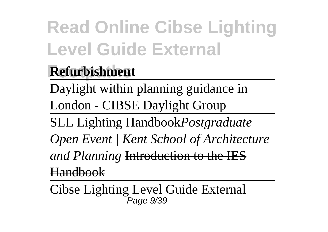#### **Footpaths Refurbishment**

Daylight within planning guidance in London - CIBSE Daylight Group

SLL Lighting Handbook*Postgraduate Open Event | Kent School of Architecture and Planning* Introduction to the IES Handbook

Cibse Lighting Level Guide External Page 9/39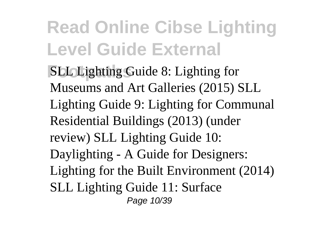**SLL Lighting Guide 8: Lighting for** Museums and Art Galleries (2015) SLL Lighting Guide 9: Lighting for Communal Residential Buildings (2013) (under review) SLL Lighting Guide 10: Daylighting - A Guide for Designers: Lighting for the Built Environment (2014) SLL Lighting Guide 11: Surface Page 10/39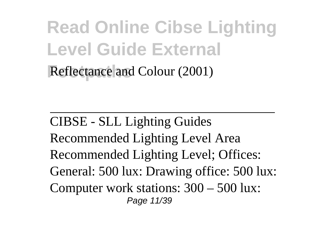#### **Read Online Cibse Lighting Level Guide External Reflectance and Colour (2001)**

CIBSE - SLL Lighting Guides Recommended Lighting Level Area Recommended Lighting Level; Offices: General: 500 lux: Drawing office: 500 lux: Computer work stations: 300 – 500 lux: Page 11/39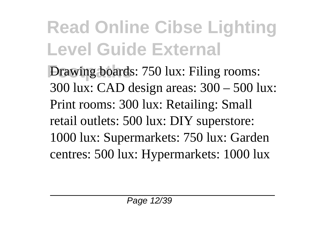**Following boards: 750 lux: Filing rooms:** 300 lux: CAD design areas: 300 – 500 lux: Print rooms: 300 lux: Retailing: Small retail outlets: 500 lux: DIY superstore: 1000 lux: Supermarkets: 750 lux: Garden centres: 500 lux: Hypermarkets: 1000 lux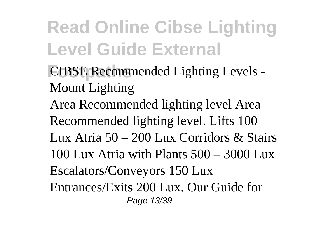- **CIBSE Recommended Lighting Levels -**Mount Lighting
- Area Recommended lighting level Area Recommended lighting level. Lifts 100 Lux Atria 50 – 200 Lux Corridors & Stairs 100 Lux Atria with Plants 500 – 3000 Lux Escalators/Conveyors 150 Lux Entrances/Exits 200 Lux. Our Guide for Page 13/39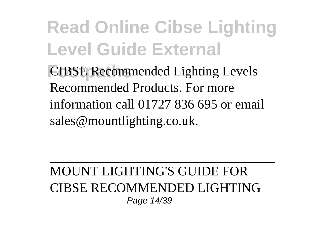**Read Online Cibse Lighting Level Guide External CIBSE Recommended Lighting Levels** Recommended Products. For more information call 01727 836 695 or email sales@mountlighting.co.uk.

#### MOUNT LIGHTING'S GUIDE FOR CIBSE RECOMMENDED LIGHTING Page 14/39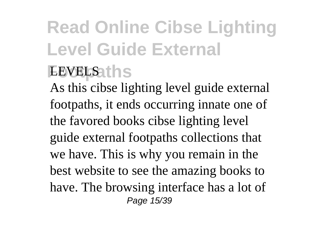As this cibse lighting level guide external footpaths, it ends occurring innate one of the favored books cibse lighting level guide external footpaths collections that we have. This is why you remain in the best website to see the amazing books to have. The browsing interface has a lot of Page 15/39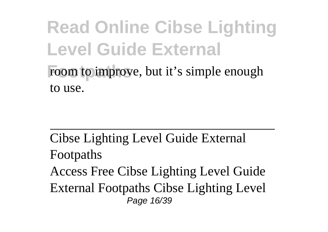#### **Read Online Cibse Lighting Level Guide External** room to improve, but it's simple enough to use.

Cibse Lighting Level Guide External Footpaths Access Free Cibse Lighting Level Guide External Footpaths Cibse Lighting Level Page 16/39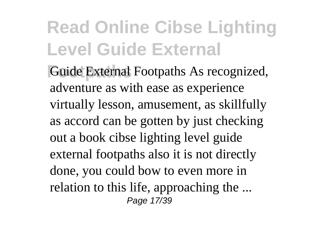**Footpaths** Guide External Footpaths As recognized, adventure as with ease as experience virtually lesson, amusement, as skillfully as accord can be gotten by just checking out a book cibse lighting level guide external footpaths also it is not directly done, you could bow to even more in relation to this life, approaching the ... Page 17/39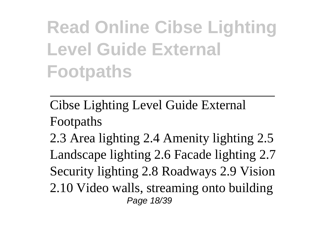Cibse Lighting Level Guide External Footpaths

2.3 Area lighting 2.4 Amenity lighting 2.5 Landscape lighting 2.6 Facade lighting 2.7 Security lighting 2.8 Roadways 2.9 Vision 2.10 Video walls, streaming onto building Page 18/39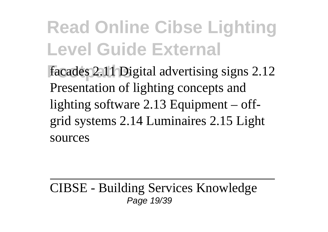facades 2.11 Digital advertising signs 2.12 Presentation of lighting concepts and lighting software 2.13 Equipment – offgrid systems 2.14 Luminaires 2.15 Light sources

CIBSE - Building Services Knowledge Page 19/39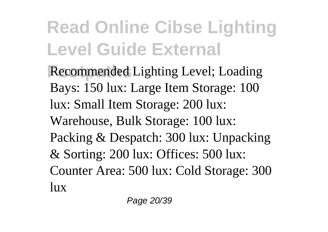**Recommended Lighting Level; Loading** Bays: 150 lux: Large Item Storage: 100 lux: Small Item Storage: 200 lux: Warehouse, Bulk Storage: 100 lux: Packing & Despatch: 300 lux: Unpacking & Sorting: 200 lux: Offices: 500 lux: Counter Area: 500 lux: Cold Storage: 300 lux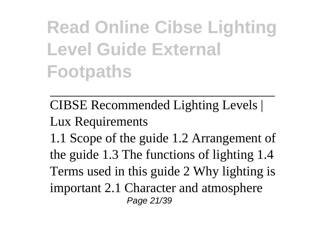CIBSE Recommended Lighting Levels | Lux Requirements 1.1 Scope of the guide 1.2 Arrangement of the guide 1.3 The functions of lighting 1.4 Terms used in this guide 2 Why lighting is important 2.1 Character and atmosphere Page 21/39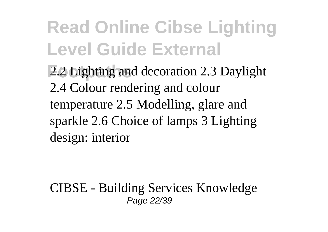**Following 2.2 Lighting and decoration 2.3 Daylight** 2.4 Colour rendering and colour temperature 2.5 Modelling, glare and sparkle 2.6 Choice of lamps 3 Lighting design: interior

CIBSE - Building Services Knowledge Page 22/39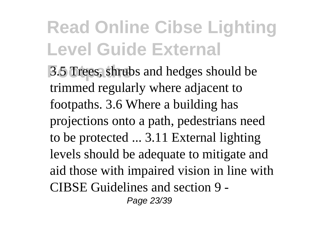**Following** 3.5 Trees, shrubs and hedges should be trimmed regularly where adjacent to footpaths. 3.6 Where a building has projections onto a path, pedestrians need to be protected ... 3.11 External lighting levels should be adequate to mitigate and aid those with impaired vision in line with CIBSE Guidelines and section 9 - Page 23/39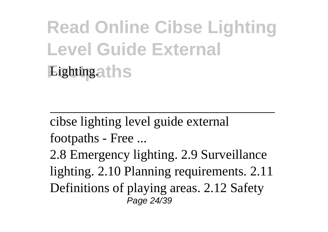#### **Read Online Cibse Lighting Level Guide External Eightingaths**

cibse lighting level guide external footpaths - Free ...

2.8 Emergency lighting. 2.9 Surveillance lighting. 2.10 Planning requirements. 2.11 Definitions of playing areas. 2.12 Safety Page 24/39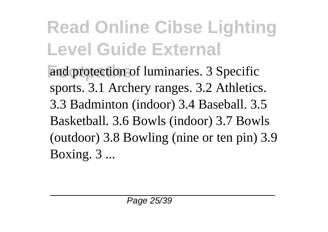and protection of luminaries. 3 Specific sports. 3.1 Archery ranges. 3.2 Athletics. 3.3 Badminton (indoor) 3.4 Baseball. 3.5 Basketball. 3.6 Bowls (indoor) 3.7 Bowls (outdoor) 3.8 Bowling (nine or ten pin) 3.9 Boxing. 3 ...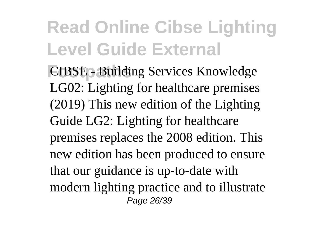**CIBSE - Building Services Knowledge** LG02: Lighting for healthcare premises (2019) This new edition of the Lighting Guide LG2: Lighting for healthcare premises replaces the 2008 edition. This new edition has been produced to ensure that our guidance is up-to-date with modern lighting practice and to illustrate Page 26/39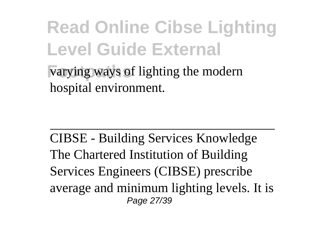varying ways of lighting the modern hospital environment.

CIBSE - Building Services Knowledge The Chartered Institution of Building Services Engineers (CIBSE) prescribe average and minimum lighting levels. It is Page 27/39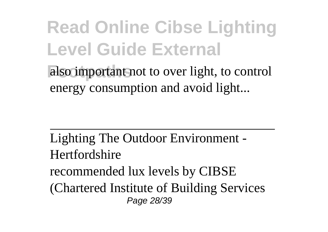also important not to over light, to control energy consumption and avoid light...

Lighting The Outdoor Environment - Hertfordshire recommended lux levels by CIBSE (Chartered Institute of Building Services Page 28/39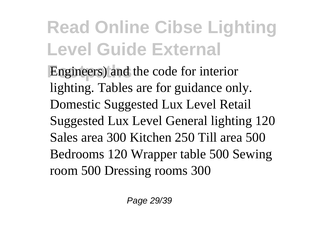Engineers) and the code for interior lighting. Tables are for guidance only. Domestic Suggested Lux Level Retail Suggested Lux Level General lighting 120 Sales area 300 Kitchen 250 Till area 500 Bedrooms 120 Wrapper table 500 Sewing room 500 Dressing rooms 300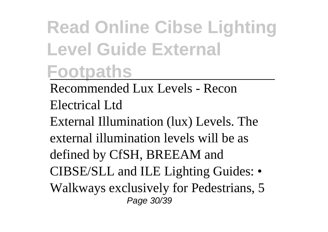Recommended Lux Levels - Recon Electrical Ltd External Illumination (lux) Levels. The external illumination levels will be as defined by CfSH, BREEAM and CIBSE/SLL and ILE Lighting Guides: • Walkways exclusively for Pedestrians, 5 Page 30/39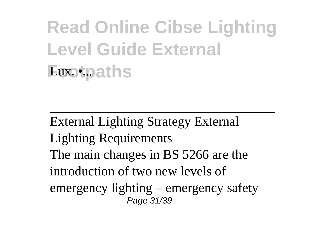External Lighting Strategy External Lighting Requirements The main changes in BS 5266 are the introduction of two new levels of emergency lighting – emergency safety Page 31/39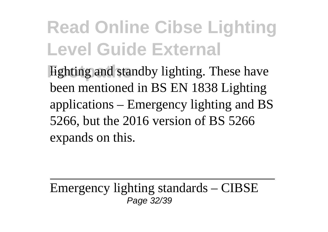**Fighting and standby lighting. These have** been mentioned in BS EN 1838 Lighting applications – Emergency lighting and BS 5266, but the 2016 version of BS 5266 expands on this.

Emergency lighting standards – CIBSE Page 32/39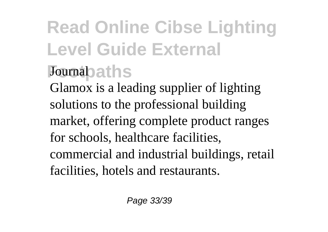#### **Footpaths** Journal

Glamox is a leading supplier of lighting solutions to the professional building market, offering complete product ranges for schools, healthcare facilities, commercial and industrial buildings, retail facilities, hotels and restaurants.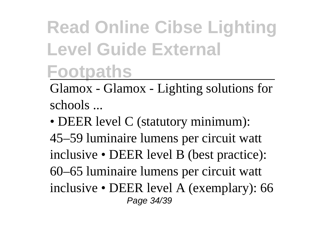Glamox - Glamox - Lighting solutions for schools ...

• DEER level C (statutory minimum): 45–59 luminaire lumens per circuit watt inclusive • DEER level B (best practice): 60–65 luminaire lumens per circuit watt inclusive • DEER level A (exemplary): 66 Page 34/39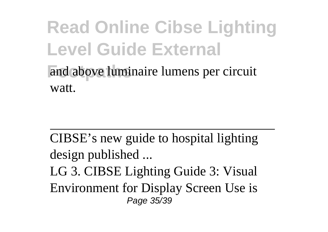and above luminaire lumens per circuit watt.

CIBSE's new guide to hospital lighting design published ...

LG 3. CIBSE Lighting Guide 3: Visual Environment for Display Screen Use is Page 35/39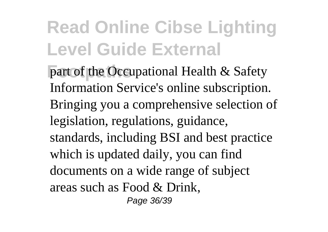**part of the Occupational Health & Safety** Information Service's online subscription. Bringing you a comprehensive selection of legislation, regulations, guidance, standards, including BSI and best practice which is updated daily, you can find documents on a wide range of subject areas such as Food & Drink, Page 36/39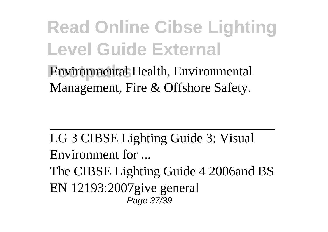**Footpaths** Environmental Health, Environmental Management, Fire & Offshore Safety.

LG 3 CIBSE Lighting Guide 3: Visual Environment for ...

The CIBSE Lighting Guide 4 2006and BS EN 12193:2007give general Page 37/39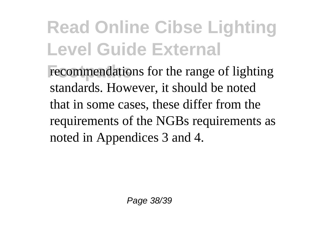recommendations for the range of lighting standards. However, it should be noted that in some cases, these differ from the requirements of the NGBs requirements as noted in Appendices 3 and 4.